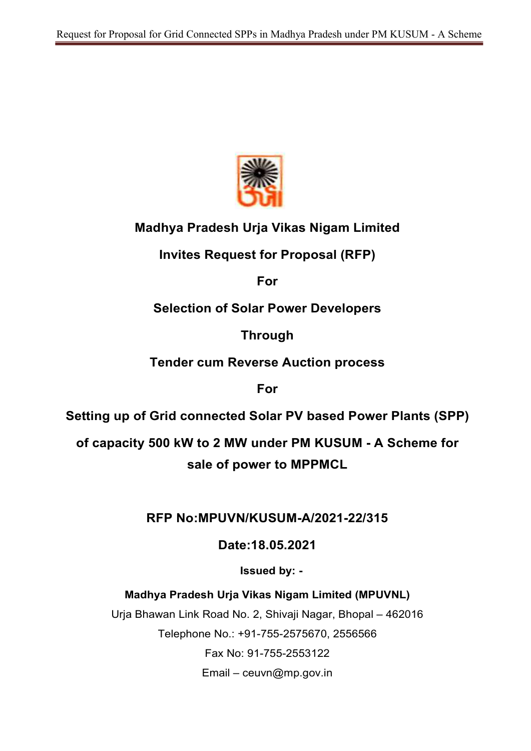

# Madhya Pradesh Urja Vikas Nigam Limited

Invites Request for Proposal (RFP)

For

# Selection of Solar Power Developers

Through

Tender cum Reverse Auction process

For

Setting up of Grid connected Solar PV based Power Plants (SPP)

of capacity 500 kW to 2 MW under PM KUSUM - A Scheme for sale of power to MPPMCL

## RFP No:MPUVN/KUSUM-A/2021-22/315

Date:18.05.2021

Issued by: -

Madhya Pradesh Urja Vikas Nigam Limited (MPUVNL)

Urja Bhawan Link Road No. 2, Shivaji Nagar, Bhopal – 462016 Telephone No.: +91-755-2575670, 2556566 Fax No: 91-755-2553122

 $E$ mail – ceuvn@mp.gov.in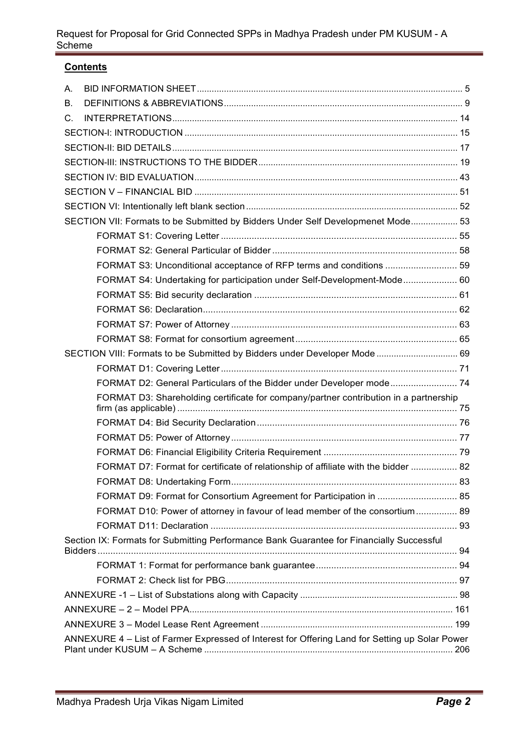## **Contents**

| А.          |                                                                                                |  |
|-------------|------------------------------------------------------------------------------------------------|--|
| В.          |                                                                                                |  |
| $C_{\cdot}$ |                                                                                                |  |
|             |                                                                                                |  |
|             |                                                                                                |  |
|             |                                                                                                |  |
|             |                                                                                                |  |
|             |                                                                                                |  |
|             |                                                                                                |  |
|             |                                                                                                |  |
|             | SECTION VII: Formats to be Submitted by Bidders Under Self Developmenet Mode 53                |  |
|             |                                                                                                |  |
|             |                                                                                                |  |
|             | FORMAT S3: Unconditional acceptance of RFP terms and conditions  59                            |  |
|             | FORMAT S4: Undertaking for participation under Self-Development-Mode 60                        |  |
|             |                                                                                                |  |
|             |                                                                                                |  |
|             |                                                                                                |  |
|             |                                                                                                |  |
|             | SECTION VIII: Formats to be Submitted by Bidders under Developer Mode  69                      |  |
|             |                                                                                                |  |
|             | FORMAT D2: General Particulars of the Bidder under Developer mode 74                           |  |
|             | FORMAT D3: Shareholding certificate for company/partner contribution in a partnership          |  |
|             |                                                                                                |  |
|             |                                                                                                |  |
|             |                                                                                                |  |
|             | FORMAT D7: Format for certificate of relationship of affiliate with the bidder  82             |  |
|             |                                                                                                |  |
|             |                                                                                                |  |
|             | FORMAT D10: Power of attorney in favour of lead member of the consortium 89                    |  |
|             |                                                                                                |  |
|             | Section IX: Formats for Submitting Performance Bank Guarantee for Financially Successful       |  |
|             | Bidders.                                                                                       |  |
|             |                                                                                                |  |
|             |                                                                                                |  |
|             |                                                                                                |  |
|             |                                                                                                |  |
|             |                                                                                                |  |
|             | ANNEXURE 4 - List of Farmer Expressed of Interest for Offering Land for Setting up Solar Power |  |
|             |                                                                                                |  |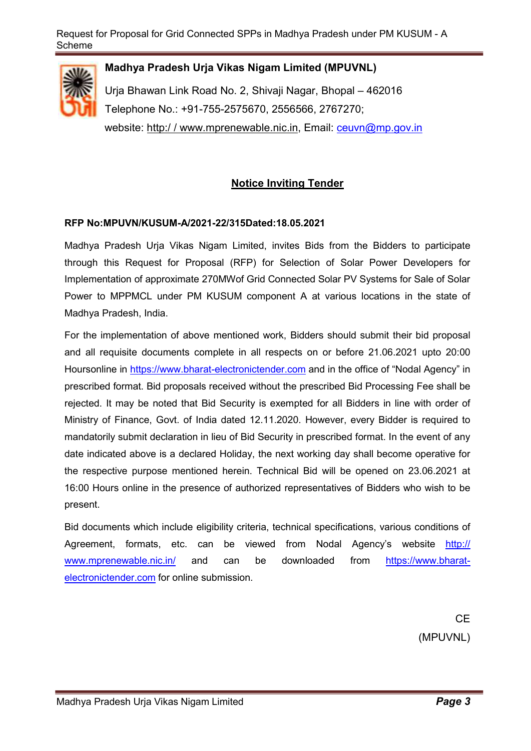

### Madhya Pradesh Urja Vikas Nigam Limited (MPUVNL)

Urja Bhawan Link Road No. 2, Shivaji Nagar, Bhopal – 462016 Telephone No.: +91-755-2575670, 2556566, 2767270; website: http://www.mprenewable.nic.in, Email: ceuvn@mp.gov.in

### Notice Inviting Tender

### RFP No:MPUVN/KUSUM-A/2021-22/315Dated:18.05.2021

Madhya Pradesh Urja Vikas Nigam Limited, invites Bids from the Bidders to participate through this Request for Proposal (RFP) for Selection of Solar Power Developers for Implementation of approximate 270MWof Grid Connected Solar PV Systems for Sale of Solar Power to MPPMCL under PM KUSUM component A at various locations in the state of Madhya Pradesh, India.

For the implementation of above mentioned work, Bidders should submit their bid proposal and all requisite documents complete in all respects on or before 21.06.2021 upto 20:00 Hoursonline in https://www.bharat-electronictender.com and in the office of "Nodal Agency" in prescribed format. Bid proposals received without the prescribed Bid Processing Fee shall be rejected. It may be noted that Bid Security is exempted for all Bidders in line with order of Ministry of Finance, Govt. of India dated 12.11.2020. However, every Bidder is required to mandatorily submit declaration in lieu of Bid Security in prescribed format. In the event of any date indicated above is a declared Holiday, the next working day shall become operative for the respective purpose mentioned herein. Technical Bid will be opened on 23.06.2021 at 16:00 Hours online in the presence of authorized representatives of Bidders who wish to be present.

Bid documents which include eligibility criteria, technical specifications, various conditions of Agreement, formats, etc. can be viewed from Nodal Agency's website http:// www.mprenewable.nic.in/ and can be downloaded from https://www.bharatelectronictender.com for online submission.

> **CE** (MPUVNL)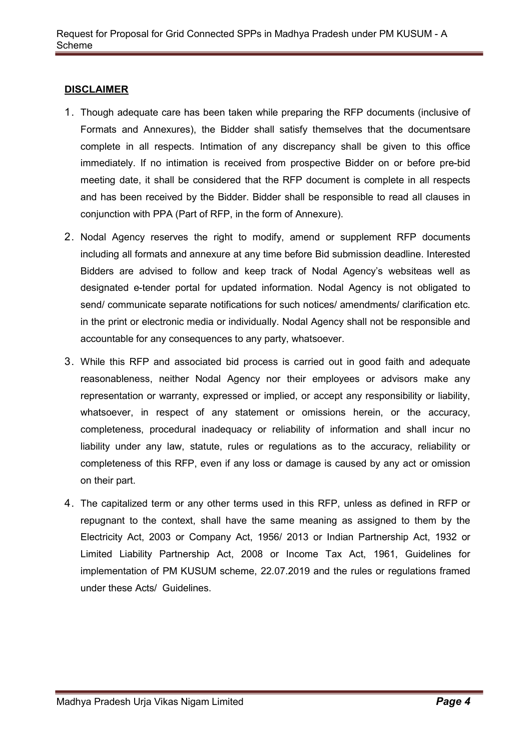### **DISCLAIMER**

- 1. Though adequate care has been taken while preparing the RFP documents (inclusive of Formats and Annexures), the Bidder shall satisfy themselves that the documentsare complete in all respects. Intimation of any discrepancy shall be given to this office immediately. If no intimation is received from prospective Bidder on or before pre-bid meeting date, it shall be considered that the RFP document is complete in all respects and has been received by the Bidder. Bidder shall be responsible to read all clauses in conjunction with PPA (Part of RFP, in the form of Annexure).
- 2. Nodal Agency reserves the right to modify, amend or supplement RFP documents including all formats and annexure at any time before Bid submission deadline. Interested Bidders are advised to follow and keep track of Nodal Agency's websiteas well as designated e-tender portal for updated information. Nodal Agency is not obligated to send/ communicate separate notifications for such notices/ amendments/ clarification etc. in the print or electronic media or individually. Nodal Agency shall not be responsible and accountable for any consequences to any party, whatsoever.
- 3. While this RFP and associated bid process is carried out in good faith and adequate reasonableness, neither Nodal Agency nor their employees or advisors make any representation or warranty, expressed or implied, or accept any responsibility or liability, whatsoever, in respect of any statement or omissions herein, or the accuracy, completeness, procedural inadequacy or reliability of information and shall incur no liability under any law, statute, rules or regulations as to the accuracy, reliability or completeness of this RFP, even if any loss or damage is caused by any act or omission on their part.
- 4. The capitalized term or any other terms used in this RFP, unless as defined in RFP or repugnant to the context, shall have the same meaning as assigned to them by the Electricity Act, 2003 or Company Act, 1956/ 2013 or Indian Partnership Act, 1932 or Limited Liability Partnership Act, 2008 or Income Tax Act, 1961, Guidelines for implementation of PM KUSUM scheme, 22.07.2019 and the rules or regulations framed under these Acts/ Guidelines.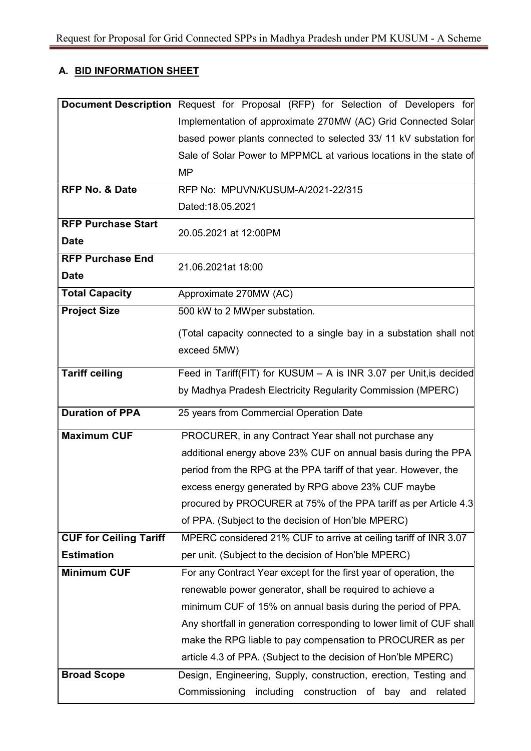## A. BID INFORMATION SHEET

|                               | Document Description Request for Proposal (RFP) for Selection of Developers for |  |  |
|-------------------------------|---------------------------------------------------------------------------------|--|--|
|                               | Implementation of approximate 270MW (AC) Grid Connected Solar                   |  |  |
|                               | based power plants connected to selected 33/ 11 kV substation for               |  |  |
|                               | Sale of Solar Power to MPPMCL at various locations in the state of              |  |  |
|                               | <b>MP</b>                                                                       |  |  |
| <b>RFP No. &amp; Date</b>     | RFP No: MPUVN/KUSUM-A/2021-22/315                                               |  |  |
|                               | Dated:18.05.2021                                                                |  |  |
| <b>RFP Purchase Start</b>     | 20.05.2021 at 12:00PM                                                           |  |  |
| <b>Date</b>                   |                                                                                 |  |  |
| <b>RFP Purchase End</b>       | 21.06.2021at 18:00                                                              |  |  |
| <b>Date</b>                   |                                                                                 |  |  |
| <b>Total Capacity</b>         | Approximate 270MW (AC)                                                          |  |  |
| <b>Project Size</b>           | 500 kW to 2 MWper substation.                                                   |  |  |
|                               | (Total capacity connected to a single bay in a substation shall not             |  |  |
|                               | exceed 5MW)                                                                     |  |  |
| <b>Tariff ceiling</b>         | Feed in Tariff(FIT) for KUSUM - A is INR 3.07 per Unit, is decided              |  |  |
|                               |                                                                                 |  |  |
|                               | by Madhya Pradesh Electricity Regularity Commission (MPERC)                     |  |  |
| <b>Duration of PPA</b>        | 25 years from Commercial Operation Date                                         |  |  |
| <b>Maximum CUF</b>            | PROCURER, in any Contract Year shall not purchase any                           |  |  |
|                               | additional energy above 23% CUF on annual basis during the PPA                  |  |  |
|                               | period from the RPG at the PPA tariff of that year. However, the                |  |  |
|                               | excess energy generated by RPG above 23% CUF maybe                              |  |  |
|                               | procured by PROCURER at 75% of the PPA tariff as per Article 4.3                |  |  |
|                               | of PPA. (Subject to the decision of Hon'ble MPERC)                              |  |  |
| <b>CUF for Ceiling Tariff</b> | MPERC considered 21% CUF to arrive at ceiling tariff of INR 3.07                |  |  |
| <b>Estimation</b>             | per unit. (Subject to the decision of Hon'ble MPERC)                            |  |  |
| <b>Minimum CUF</b>            | For any Contract Year except for the first year of operation, the               |  |  |
|                               | renewable power generator, shall be required to achieve a                       |  |  |
|                               | minimum CUF of 15% on annual basis during the period of PPA.                    |  |  |
|                               | Any shortfall in generation corresponding to lower limit of CUF shall           |  |  |
|                               | make the RPG liable to pay compensation to PROCURER as per                      |  |  |
|                               | article 4.3 of PPA. (Subject to the decision of Hon'ble MPERC)                  |  |  |
| <b>Broad Scope</b>            | Design, Engineering, Supply, construction, erection, Testing and                |  |  |
|                               | construction of bay and<br>Commissioning<br>including<br>related                |  |  |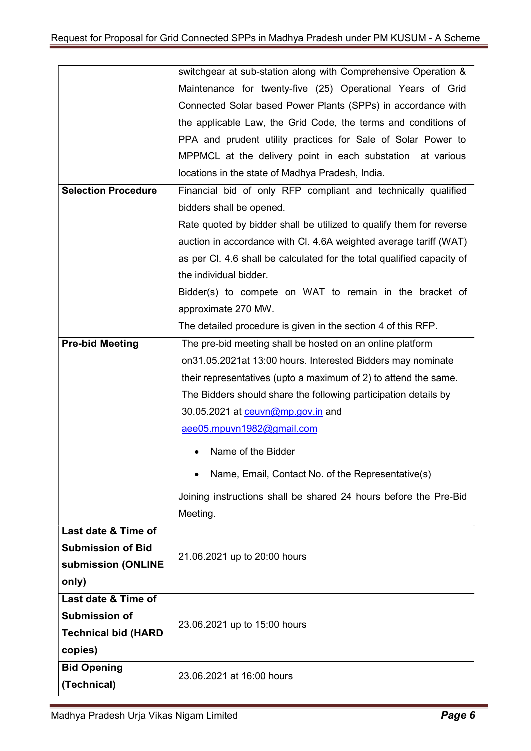|                                                                                     | switchgear at sub-station along with Comprehensive Operation &         |  |  |  |  |
|-------------------------------------------------------------------------------------|------------------------------------------------------------------------|--|--|--|--|
|                                                                                     | Maintenance for twenty-five (25) Operational Years of Grid             |  |  |  |  |
|                                                                                     | Connected Solar based Power Plants (SPPs) in accordance with           |  |  |  |  |
|                                                                                     | the applicable Law, the Grid Code, the terms and conditions of         |  |  |  |  |
|                                                                                     | PPA and prudent utility practices for Sale of Solar Power to           |  |  |  |  |
|                                                                                     | MPPMCL at the delivery point in each substation at various             |  |  |  |  |
|                                                                                     | locations in the state of Madhya Pradesh, India.                       |  |  |  |  |
| <b>Selection Procedure</b>                                                          | Financial bid of only RFP compliant and technically qualified          |  |  |  |  |
|                                                                                     | bidders shall be opened.                                               |  |  |  |  |
|                                                                                     | Rate quoted by bidder shall be utilized to qualify them for reverse    |  |  |  |  |
|                                                                                     | auction in accordance with Cl. 4.6A weighted average tariff (WAT)      |  |  |  |  |
|                                                                                     | as per CI. 4.6 shall be calculated for the total qualified capacity of |  |  |  |  |
|                                                                                     | the individual bidder.                                                 |  |  |  |  |
|                                                                                     | Bidder(s) to compete on WAT to remain in the bracket of                |  |  |  |  |
| approximate 270 MW.                                                                 |                                                                        |  |  |  |  |
|                                                                                     | The detailed procedure is given in the section 4 of this RFP.          |  |  |  |  |
| <b>Pre-bid Meeting</b><br>The pre-bid meeting shall be hosted on an online platform |                                                                        |  |  |  |  |
|                                                                                     | on31.05.2021at 13:00 hours. Interested Bidders may nominate            |  |  |  |  |
|                                                                                     | their representatives (upto a maximum of 2) to attend the same.        |  |  |  |  |
|                                                                                     | The Bidders should share the following participation details by        |  |  |  |  |
|                                                                                     | 30.05.2021 at ceuvn@mp.gov.in and                                      |  |  |  |  |
|                                                                                     | aee05.mpuvn1982@gmail.com                                              |  |  |  |  |
|                                                                                     | Name of the Bidder                                                     |  |  |  |  |
|                                                                                     | Name, Email, Contact No. of the Representative(s)                      |  |  |  |  |
|                                                                                     | Joining instructions shall be shared 24 hours before the Pre-Bid       |  |  |  |  |
|                                                                                     | Meeting.                                                               |  |  |  |  |
| Last date & Time of                                                                 |                                                                        |  |  |  |  |
| <b>Submission of Bid</b>                                                            | 21.06.2021 up to 20:00 hours                                           |  |  |  |  |
| submission (ONLINE                                                                  |                                                                        |  |  |  |  |
| only)                                                                               |                                                                        |  |  |  |  |
| Last date & Time of                                                                 |                                                                        |  |  |  |  |
| <b>Submission of</b>                                                                | 23.06.2021 up to 15:00 hours                                           |  |  |  |  |
| <b>Technical bid (HARD</b>                                                          |                                                                        |  |  |  |  |
| copies)                                                                             |                                                                        |  |  |  |  |
| <b>Bid Opening</b>                                                                  | 23.06.2021 at 16:00 hours                                              |  |  |  |  |
| (Technical)                                                                         |                                                                        |  |  |  |  |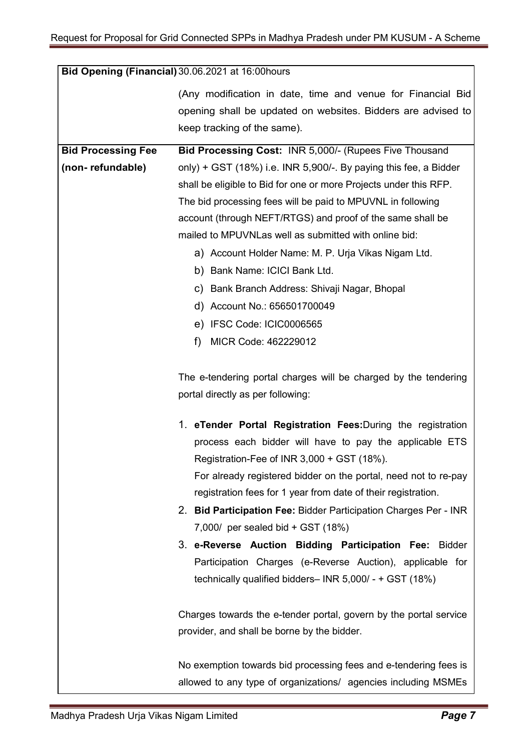|                           | Bid Opening (Financial) 30.06.2021 at 16:00 hours                                                                                                          |
|---------------------------|------------------------------------------------------------------------------------------------------------------------------------------------------------|
|                           | (Any modification in date, time and venue for Financial Bid<br>opening shall be updated on websites. Bidders are advised to<br>keep tracking of the same). |
|                           |                                                                                                                                                            |
| <b>Bid Processing Fee</b> | Bid Processing Cost: INR 5,000/- (Rupees Five Thousand                                                                                                     |
| (non-refundable)          | only) + GST $(18%)$ i.e. INR 5,900/-. By paying this fee, a Bidder                                                                                         |
|                           | shall be eligible to Bid for one or more Projects under this RFP.                                                                                          |
|                           | The bid processing fees will be paid to MPUVNL in following                                                                                                |
|                           | account (through NEFT/RTGS) and proof of the same shall be                                                                                                 |
|                           | mailed to MPUVNLas well as submitted with online bid:                                                                                                      |
|                           | a) Account Holder Name: M. P. Urja Vikas Nigam Ltd.                                                                                                        |
|                           | b) Bank Name: ICICI Bank Ltd.                                                                                                                              |
|                           | c) Bank Branch Address: Shivaji Nagar, Bhopal                                                                                                              |
|                           | d) Account No.: 656501700049                                                                                                                               |
|                           | e) IFSC Code: ICIC0006565                                                                                                                                  |
|                           | MICR Code: 462229012<br>f)                                                                                                                                 |
|                           | The e-tendering portal charges will be charged by the tendering                                                                                            |
|                           | portal directly as per following:                                                                                                                          |
|                           | 1. eTender Portal Registration Fees: During the registration                                                                                               |
|                           | process each bidder will have to pay the applicable ETS                                                                                                    |
|                           | Registration-Fee of INR 3,000 + GST (18%).                                                                                                                 |
|                           | For already registered bidder on the portal, need not to re-pay                                                                                            |
|                           | registration fees for 1 year from date of their registration.                                                                                              |
|                           | 2. Bid Participation Fee: Bidder Participation Charges Per - INR                                                                                           |
|                           | 7,000/ per sealed bid $+$ GST (18%)                                                                                                                        |
|                           | 3. e-Reverse Auction Bidding Participation Fee: Bidder                                                                                                     |
|                           | Participation Charges (e-Reverse Auction), applicable for                                                                                                  |
|                           | technically qualified bidders- INR 5,000/ - + GST (18%)                                                                                                    |
|                           | Charges towards the e-tender portal, govern by the portal service                                                                                          |
|                           | provider, and shall be borne by the bidder.                                                                                                                |
|                           | No exemption towards bid processing fees and e-tendering fees is                                                                                           |
|                           | allowed to any type of organizations/ agencies including MSMEs                                                                                             |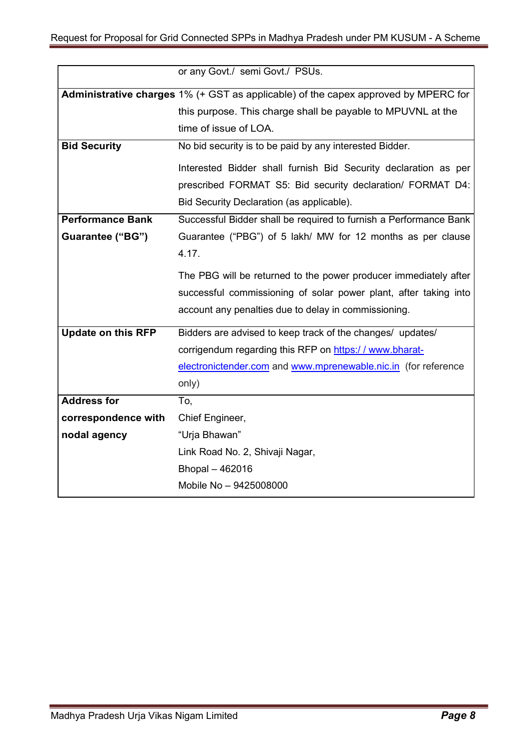|                           | or any Govt./ semi Govt./ PSUs.                                                    |  |
|---------------------------|------------------------------------------------------------------------------------|--|
|                           | Administrative charges 1% (+ GST as applicable) of the capex approved by MPERC for |  |
|                           | this purpose. This charge shall be payable to MPUVNL at the                        |  |
|                           | time of issue of LOA.                                                              |  |
| <b>Bid Security</b>       | No bid security is to be paid by any interested Bidder.                            |  |
|                           | Interested Bidder shall furnish Bid Security declaration as per                    |  |
|                           | prescribed FORMAT S5: Bid security declaration/ FORMAT D4:                         |  |
|                           | Bid Security Declaration (as applicable).                                          |  |
| <b>Performance Bank</b>   | Successful Bidder shall be required to furnish a Performance Bank                  |  |
| Guarantee ("BG")          | Guarantee ("PBG") of 5 lakh/ MW for 12 months as per clause                        |  |
|                           | 4.17.                                                                              |  |
|                           | The PBG will be returned to the power producer immediately after                   |  |
|                           | successful commissioning of solar power plant, after taking into                   |  |
|                           | account any penalties due to delay in commissioning.                               |  |
| <b>Update on this RFP</b> | Bidders are advised to keep track of the changes/ updates/                         |  |
|                           | corrigendum regarding this RFP on https://www.bharat-                              |  |
|                           | electronictender.com and www.mprenewable.nic.in (for reference                     |  |
|                           | only)                                                                              |  |
| <b>Address for</b>        | To,                                                                                |  |
| correspondence with       | Chief Engineer,                                                                    |  |
| nodal agency              | "Urja Bhawan"                                                                      |  |
|                           | Link Road No. 2, Shivaji Nagar,                                                    |  |
|                           | Bhopal - 462016                                                                    |  |
|                           | Mobile No - 9425008000                                                             |  |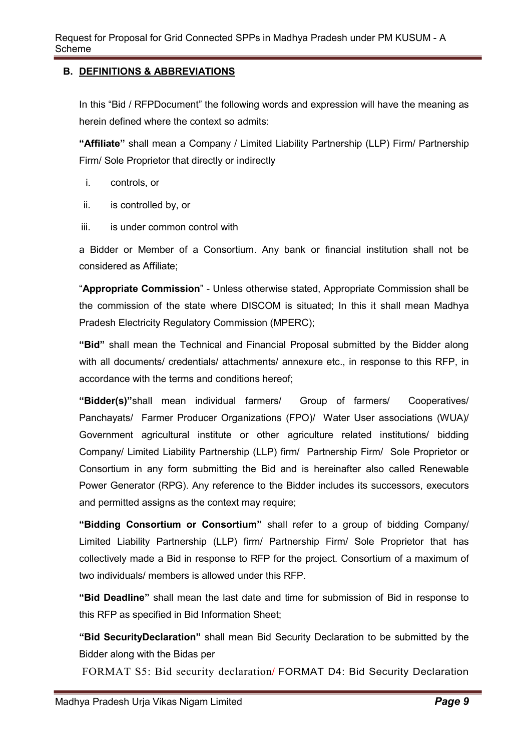### B. DEFINITIONS & ABBREVIATIONS

In this "Bid / RFPDocument" the following words and expression will have the meaning as herein defined where the context so admits:

"Affiliate" shall mean a Company / Limited Liability Partnership (LLP) Firm/ Partnership Firm/ Sole Proprietor that directly or indirectly

- i. controls, or
- ii. is controlled by, or
- iii. is under common control with

a Bidder or Member of a Consortium. Any bank or financial institution shall not be considered as Affiliate;

"Appropriate Commission" - Unless otherwise stated, Appropriate Commission shall be the commission of the state where DISCOM is situated; In this it shall mean Madhya Pradesh Electricity Regulatory Commission (MPERC);

"Bid" shall mean the Technical and Financial Proposal submitted by the Bidder along with all documents/ credentials/ attachments/ annexure etc., in response to this RFP, in accordance with the terms and conditions hereof;

 "Bidder(s)"shall mean individual farmers/ Group of farmers/ Cooperatives/ Panchayats/ Farmer Producer Organizations (FPO)/ Water User associations (WUA)/ Government agricultural institute or other agriculture related institutions/ bidding Company/ Limited Liability Partnership (LLP) firm/ Partnership Firm/ Sole Proprietor or Consortium in any form submitting the Bid and is hereinafter also called Renewable Power Generator (RPG). Any reference to the Bidder includes its successors, executors and permitted assigns as the context may require;

 "Bidding Consortium or Consortium" shall refer to a group of bidding Company/ Limited Liability Partnership (LLP) firm/ Partnership Firm/ Sole Proprietor that has collectively made a Bid in response to RFP for the project. Consortium of a maximum of two individuals/ members is allowed under this RFP.

 "Bid Deadline" shall mean the last date and time for submission of Bid in response to this RFP as specified in Bid Information Sheet;

 "Bid SecurityDeclaration" shall mean Bid Security Declaration to be submitted by the Bidder along with the Bidas per

FORMAT S5: Bid security declaration/ FORMAT D4: Bid Security Declaration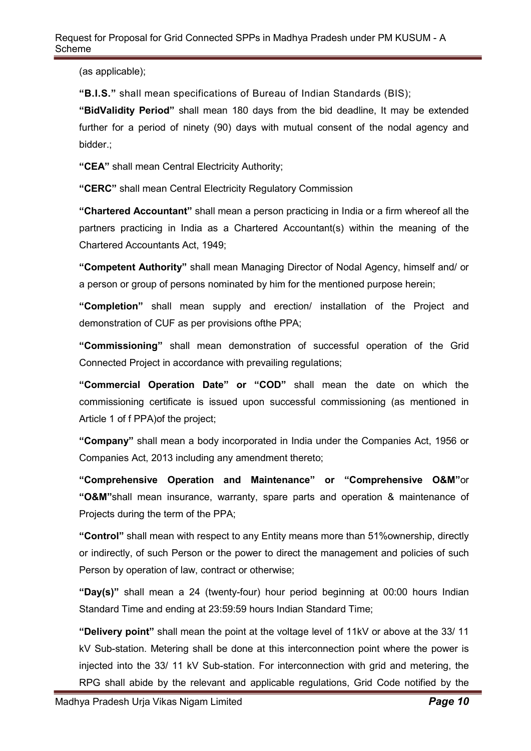(as applicable);

"B.I.S." shall mean specifications of Bureau of Indian Standards (BIS);

 "BidValidity Period" shall mean 180 days from the bid deadline, It may be extended further for a period of ninety (90) days with mutual consent of the nodal agency and bidder.;

"CEA" shall mean Central Electricity Authority;

"CERC" shall mean Central Electricity Regulatory Commission

 "Chartered Accountant" shall mean a person practicing in India or a firm whereof all the partners practicing in India as a Chartered Accountant(s) within the meaning of the Chartered Accountants Act, 1949;

 "Competent Authority" shall mean Managing Director of Nodal Agency, himself and/ or a person or group of persons nominated by him for the mentioned purpose herein;

 "Completion" shall mean supply and erection/ installation of the Project and demonstration of CUF as per provisions ofthe PPA;

 "Commissioning" shall mean demonstration of successful operation of the Grid Connected Project in accordance with prevailing regulations;

 "Commercial Operation Date" or "COD" shall mean the date on which the commissioning certificate is issued upon successful commissioning (as mentioned in Article 1 of f PPA)of the project;

 "Company" shall mean a body incorporated in India under the Companies Act, 1956 or Companies Act, 2013 including any amendment thereto;

 "Comprehensive Operation and Maintenance" or "Comprehensive O&M"or "O&M"shall mean insurance, warranty, spare parts and operation & maintenance of Projects during the term of the PPA;

 "Control" shall mean with respect to any Entity means more than 51%ownership, directly or indirectly, of such Person or the power to direct the management and policies of such Person by operation of law, contract or otherwise;

 "Day(s)" shall mean a 24 (twenty-four) hour period beginning at 00:00 hours Indian Standard Time and ending at 23:59:59 hours Indian Standard Time;

 "Delivery point" shall mean the point at the voltage level of 11kV or above at the 33/ 11 kV Sub-station. Metering shall be done at this interconnection point where the power is injected into the 33/ 11 kV Sub-station. For interconnection with grid and metering, the RPG shall abide by the relevant and applicable regulations, Grid Code notified by the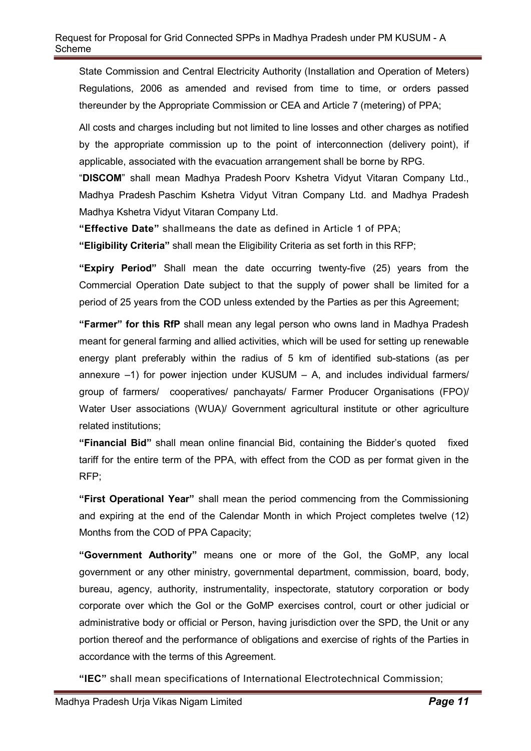State Commission and Central Electricity Authority (Installation and Operation of Meters) Regulations, 2006 as amended and revised from time to time, or orders passed thereunder by the Appropriate Commission or CEA and Article 7 (metering) of PPA;

 All costs and charges including but not limited to line losses and other charges as notified by the appropriate commission up to the point of interconnection (delivery point), if applicable, associated with the evacuation arrangement shall be borne by RPG.

 "DISCOM" shall mean Madhya Pradesh Poorv Kshetra Vidyut Vitaran Company Ltd., Madhya Pradesh Paschim Kshetra Vidyut Vitran Company Ltd. and Madhya Pradesh Madhya Kshetra Vidyut Vitaran Company Ltd.

"Effective Date" shallmeans the date as defined in Article 1 of PPA;

"Eligibility Criteria" shall mean the Eligibility Criteria as set forth in this RFP;

"Expiry Period" Shall mean the date occurring twenty-five (25) years from the Commercial Operation Date subject to that the supply of power shall be limited for a period of 25 years from the COD unless extended by the Parties as per this Agreement;

"Farmer" for this RfP shall mean any legal person who owns land in Madhya Pradesh meant for general farming and allied activities, which will be used for setting up renewable energy plant preferably within the radius of 5 km of identified sub-stations (as per annexure  $-1$ ) for power injection under KUSUM  $-$  A, and includes individual farmers/ group of farmers/ cooperatives/ panchayats/ Farmer Producer Organisations (FPO)/ Water User associations (WUA)/ Government agricultural institute or other agriculture related institutions;

 "Financial Bid" shall mean online financial Bid, containing the Bidder's quoted fixed tariff for the entire term of the PPA, with effect from the COD as per format given in the RFP;

"First Operational Year" shall mean the period commencing from the Commissioning and expiring at the end of the Calendar Month in which Project completes twelve (12) Months from the COD of PPA Capacity;

 "Government Authority" means one or more of the GoI, the GoMP, any local government or any other ministry, governmental department, commission, board, body, bureau, agency, authority, instrumentality, inspectorate, statutory corporation or body corporate over which the GoI or the GoMP exercises control, court or other judicial or administrative body or official or Person, having jurisdiction over the SPD, the Unit or any portion thereof and the performance of obligations and exercise of rights of the Parties in accordance with the terms of this Agreement.

"IEC" shall mean specifications of International Electrotechnical Commission;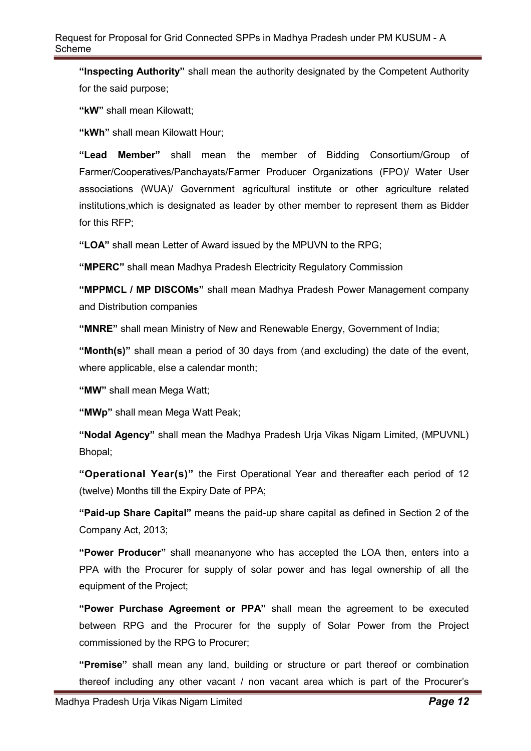"Inspecting Authority" shall mean the authority designated by the Competent Authority for the said purpose;

"kW" shall mean Kilowatt;

"KWh" shall mean Kilowatt Hour:

 "Lead Member" shall mean the member of Bidding Consortium/Group of Farmer/Cooperatives/Panchayats/Farmer Producer Organizations (FPO)/ Water User associations (WUA)/ Government agricultural institute or other agriculture related institutions,which is designated as leader by other member to represent them as Bidder for this RFP;

"LOA" shall mean Letter of Award issued by the MPUVN to the RPG;

"MPERC" shall mean Madhya Pradesh Electricity Regulatory Commission

 "MPPMCL / MP DISCOMs" shall mean Madhya Pradesh Power Management company and Distribution companies

"MNRE" shall mean Ministry of New and Renewable Energy, Government of India;

 "Month(s)" shall mean a period of 30 days from (and excluding) the date of the event, where applicable, else a calendar month;

"MW" shall mean Mega Watt;

"MWp" shall mean Mega Watt Peak;

 "Nodal Agency" shall mean the Madhya Pradesh Urja Vikas Nigam Limited, (MPUVNL) Bhopal;

 "Operational Year(s)" the First Operational Year and thereafter each period of 12 (twelve) Months till the Expiry Date of PPA;

 "Paid-up Share Capital" means the paid-up share capital as defined in Section 2 of the Company Act, 2013;

 "Power Producer" shall meananyone who has accepted the LOA then, enters into a PPA with the Procurer for supply of solar power and has legal ownership of all the equipment of the Project;

 "Power Purchase Agreement or PPA" shall mean the agreement to be executed between RPG and the Procurer for the supply of Solar Power from the Project commissioned by the RPG to Procurer;

 "Premise" shall mean any land, building or structure or part thereof or combination thereof including any other vacant / non vacant area which is part of the Procurer's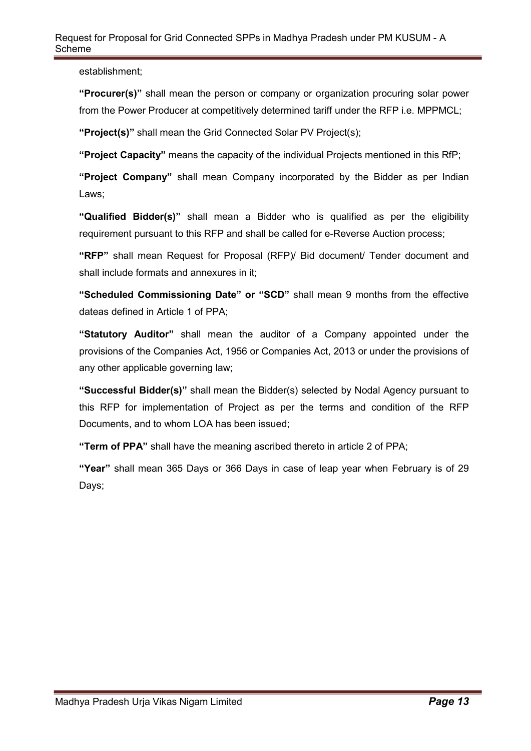#### Request for Proposal for Grid Connected SPPs in Madhya Pradesh under PM KUSUM - A Scheme

establishment;

 "Procurer(s)" shall mean the person or company or organization procuring solar power from the Power Producer at competitively determined tariff under the RFP i.e. MPPMCL;

"Project(s)" shall mean the Grid Connected Solar PV Project(s);

"Project Capacity" means the capacity of the individual Projects mentioned in this RfP;

 "Project Company" shall mean Company incorporated by the Bidder as per Indian Laws;

 "Qualified Bidder(s)" shall mean a Bidder who is qualified as per the eligibility requirement pursuant to this RFP and shall be called for e-Reverse Auction process;

 "RFP" shall mean Request for Proposal (RFP)/ Bid document/ Tender document and shall include formats and annexures in it;

 "Scheduled Commissioning Date" or "SCD" shall mean 9 months from the effective dateas defined in Article 1 of PPA;

 "Statutory Auditor" shall mean the auditor of a Company appointed under the provisions of the Companies Act, 1956 or Companies Act, 2013 or under the provisions of any other applicable governing law;

 "Successful Bidder(s)" shall mean the Bidder(s) selected by Nodal Agency pursuant to this RFP for implementation of Project as per the terms and condition of the RFP Documents, and to whom LOA has been issued;

"Term of PPA" shall have the meaning ascribed thereto in article 2 of PPA;

 "Year" shall mean 365 Days or 366 Days in case of leap year when February is of 29 Days: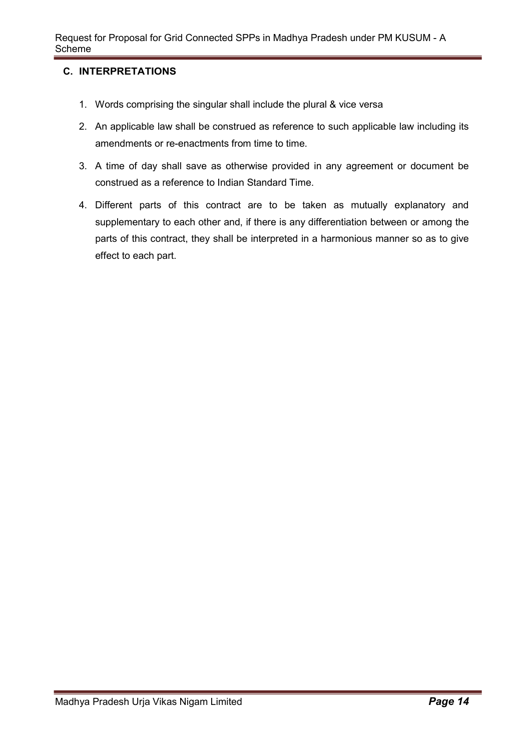### C. INTERPRETATIONS

- 1. Words comprising the singular shall include the plural & vice versa
- 2. An applicable law shall be construed as reference to such applicable law including its amendments or re-enactments from time to time.
- 3. A time of day shall save as otherwise provided in any agreement or document be construed as a reference to Indian Standard Time.
- 4. Different parts of this contract are to be taken as mutually explanatory and supplementary to each other and, if there is any differentiation between or among the parts of this contract, they shall be interpreted in a harmonious manner so as to give effect to each part.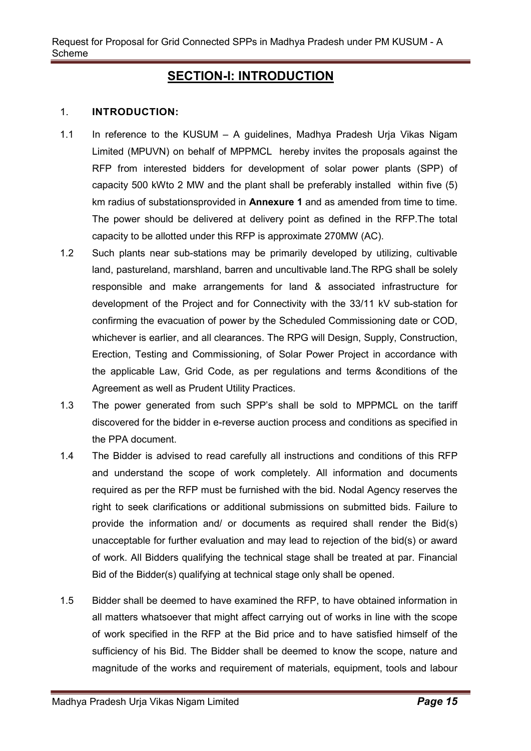### **SECTION-I: INTRODUCTION**

#### 1. INTRODUCTION:

- 1.1 In reference to the KUSUM A guidelines, Madhya Pradesh Urja Vikas Nigam Limited (MPUVN) on behalf of MPPMCL hereby invites the proposals against the RFP from interested bidders for development of solar power plants (SPP) of capacity 500 kWto 2 MW and the plant shall be preferably installed within five (5) km radius of substationsprovided in Annexure 1 and as amended from time to time. The power should be delivered at delivery point as defined in the RFP.The total capacity to be allotted under this RFP is approximate 270MW (AC).
- 1.2 Such plants near sub-stations may be primarily developed by utilizing, cultivable land, pastureland, marshland, barren and uncultivable land.The RPG shall be solely responsible and make arrangements for land & associated infrastructure for development of the Project and for Connectivity with the 33/11 kV sub-station for confirming the evacuation of power by the Scheduled Commissioning date or COD, whichever is earlier, and all clearances. The RPG will Design, Supply, Construction, Erection, Testing and Commissioning, of Solar Power Project in accordance with the applicable Law, Grid Code, as per regulations and terms &conditions of the Agreement as well as Prudent Utility Practices.
- 1.3 The power generated from such SPP's shall be sold to MPPMCL on the tariff discovered for the bidder in e-reverse auction process and conditions as specified in the PPA document.
- 1.4 The Bidder is advised to read carefully all instructions and conditions of this RFP and understand the scope of work completely. All information and documents required as per the RFP must be furnished with the bid. Nodal Agency reserves the right to seek clarifications or additional submissions on submitted bids. Failure to provide the information and/ or documents as required shall render the Bid(s) unacceptable for further evaluation and may lead to rejection of the bid(s) or award of work. All Bidders qualifying the technical stage shall be treated at par. Financial Bid of the Bidder(s) qualifying at technical stage only shall be opened.
- 1.5 Bidder shall be deemed to have examined the RFP, to have obtained information in all matters whatsoever that might affect carrying out of works in line with the scope of work specified in the RFP at the Bid price and to have satisfied himself of the sufficiency of his Bid. The Bidder shall be deemed to know the scope, nature and magnitude of the works and requirement of materials, equipment, tools and labour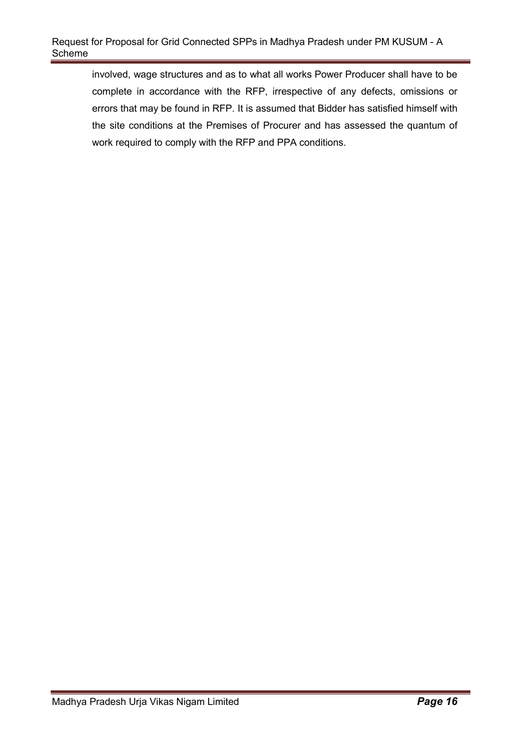involved, wage structures and as to what all works Power Producer shall have to be complete in accordance with the RFP, irrespective of any defects, omissions or errors that may be found in RFP. It is assumed that Bidder has satisfied himself with the site conditions at the Premises of Procurer and has assessed the quantum of work required to comply with the RFP and PPA conditions.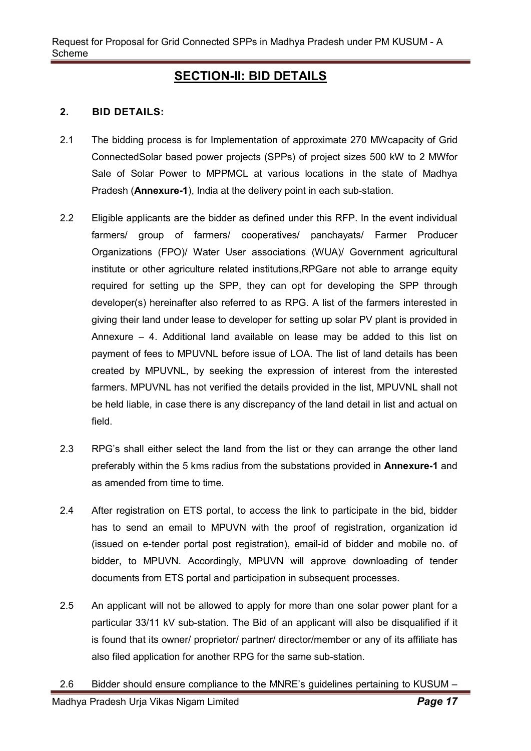### SECTION-II: BID DETAILS

### 2. BID DETAILS:

- 2.1 The bidding process is for Implementation of approximate 270 MWcapacity of Grid ConnectedSolar based power projects (SPPs) of project sizes 500 kW to 2 MWfor Sale of Solar Power to MPPMCL at various locations in the state of Madhya Pradesh (Annexure-1), India at the delivery point in each sub-station.
- 2.2 Eligible applicants are the bidder as defined under this RFP. In the event individual farmers/ group of farmers/ cooperatives/ panchayats/ Farmer Producer Organizations (FPO)/ Water User associations (WUA)/ Government agricultural institute or other agriculture related institutions,RPGare not able to arrange equity required for setting up the SPP, they can opt for developing the SPP through developer(s) hereinafter also referred to as RPG. A list of the farmers interested in giving their land under lease to developer for setting up solar PV plant is provided in Annexure – 4. Additional land available on lease may be added to this list on payment of fees to MPUVNL before issue of LOA. The list of land details has been created by MPUVNL, by seeking the expression of interest from the interested farmers. MPUVNL has not verified the details provided in the list, MPUVNL shall not be held liable, in case there is any discrepancy of the land detail in list and actual on field.
- 2.3 RPG's shall either select the land from the list or they can arrange the other land preferably within the 5 kms radius from the substations provided in Annexure-1 and as amended from time to time.
- 2.4 After registration on ETS portal, to access the link to participate in the bid, bidder has to send an email to MPUVN with the proof of registration, organization id (issued on e-tender portal post registration), email-id of bidder and mobile no. of bidder, to MPUVN. Accordingly, MPUVN will approve downloading of tender documents from ETS portal and participation in subsequent processes.
- 2.5 An applicant will not be allowed to apply for more than one solar power plant for a particular 33/11 kV sub-station. The Bid of an applicant will also be disqualified if it is found that its owner/ proprietor/ partner/ director/member or any of its affiliate has also filed application for another RPG for the same sub-station.
- 2.6 Bidder should ensure compliance to the MNRE's guidelines pertaining to KUSUM –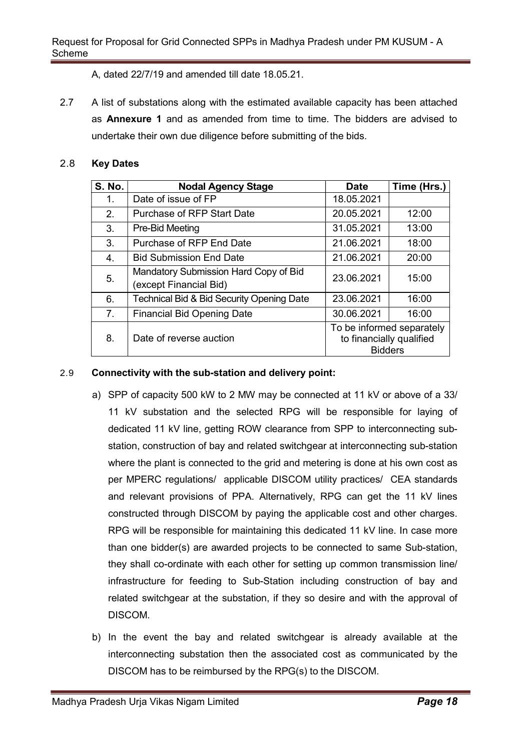A, dated 22/7/19 and amended till date 18.05.21.

2.7 A list of substations along with the estimated available capacity has been attached as Annexure 1 and as amended from time to time. The bidders are advised to undertake their own due diligence before submitting of the bids.

### 2.8 Key Dates

| <b>S. No.</b> | <b>Nodal Agency Stage</b>                                       | <b>Date</b>    | Time (Hrs.)                                           |
|---------------|-----------------------------------------------------------------|----------------|-------------------------------------------------------|
| 1.            | Date of issue of FP                                             | 18.05.2021     |                                                       |
| 2.            | <b>Purchase of RFP Start Date</b>                               | 20.05.2021     | 12:00                                                 |
| 3.            | Pre-Bid Meeting                                                 | 31.05.2021     | 13:00                                                 |
| 3.            | Purchase of RFP End Date                                        | 21.06.2021     | 18:00                                                 |
| 4.            | <b>Bid Submission End Date</b>                                  | 21.06.2021     | 20:00                                                 |
| 5.            | Mandatory Submission Hard Copy of Bid<br>(except Financial Bid) | 23.06.2021     | 15:00                                                 |
| 6.            | Technical Bid & Bid Security Opening Date                       | 23.06.2021     | 16:00                                                 |
| 7.            | <b>Financial Bid Opening Date</b>                               | 30.06.2021     | 16:00                                                 |
| 8.            | Date of reverse auction                                         | <b>Bidders</b> | To be informed separately<br>to financially qualified |

### 2.9 Connectivity with the sub-station and delivery point:

- a) SPP of capacity 500 kW to 2 MW may be connected at 11 kV or above of a 33/ 11 kV substation and the selected RPG will be responsible for laying of dedicated 11 kV line, getting ROW clearance from SPP to interconnecting substation, construction of bay and related switchgear at interconnecting sub-station where the plant is connected to the grid and metering is done at his own cost as per MPERC regulations/ applicable DISCOM utility practices/ CEA standards and relevant provisions of PPA. Alternatively, RPG can get the 11 kV lines constructed through DISCOM by paying the applicable cost and other charges. RPG will be responsible for maintaining this dedicated 11 kV line. In case more than one bidder(s) are awarded projects to be connected to same Sub-station, they shall co-ordinate with each other for setting up common transmission line/ infrastructure for feeding to Sub-Station including construction of bay and related switchgear at the substation, if they so desire and with the approval of DISCOM.
- b) In the event the bay and related switchgear is already available at the interconnecting substation then the associated cost as communicated by the DISCOM has to be reimbursed by the RPG(s) to the DISCOM.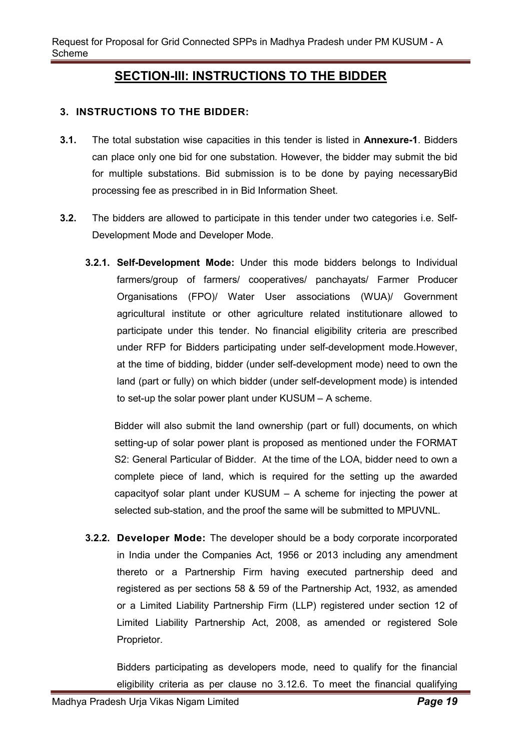### SECTION-III: INSTRUCTIONS TO THE BIDDER

### 3. INSTRUCTIONS TO THE BIDDER:

- 3.1. The total substation wise capacities in this tender is listed in Annexure-1. Bidders can place only one bid for one substation. However, the bidder may submit the bid for multiple substations. Bid submission is to be done by paying necessaryBid processing fee as prescribed in in Bid Information Sheet.
- 3.2. The bidders are allowed to participate in this tender under two categories i.e. Self-Development Mode and Developer Mode.
	- 3.2.1. Self-Development Mode: Under this mode bidders belongs to Individual farmers/group of farmers/ cooperatives/ panchayats/ Farmer Producer Organisations (FPO)/ Water User associations (WUA)/ Government agricultural institute or other agriculture related institutionare allowed to participate under this tender. No financial eligibility criteria are prescribed under RFP for Bidders participating under self-development mode.However, at the time of bidding, bidder (under self-development mode) need to own the land (part or fully) on which bidder (under self-development mode) is intended to set-up the solar power plant under KUSUM – A scheme.

Bidder will also submit the land ownership (part or full) documents, on which setting-up of solar power plant is proposed as mentioned under the FORMAT S2: General Particular of Bidder. At the time of the LOA, bidder need to own a complete piece of land, which is required for the setting up the awarded capacityof solar plant under KUSUM – A scheme for injecting the power at selected sub-station, and the proof the same will be submitted to MPUVNL.

3.2.2. Developer Mode: The developer should be a body corporate incorporated in India under the Companies Act, 1956 or 2013 including any amendment thereto or a Partnership Firm having executed partnership deed and registered as per sections 58 & 59 of the Partnership Act, 1932, as amended or a Limited Liability Partnership Firm (LLP) registered under section 12 of Limited Liability Partnership Act, 2008, as amended or registered Sole Proprietor.

Bidders participating as developers mode, need to qualify for the financial eligibility criteria as per clause no 3.12.6. To meet the financial qualifying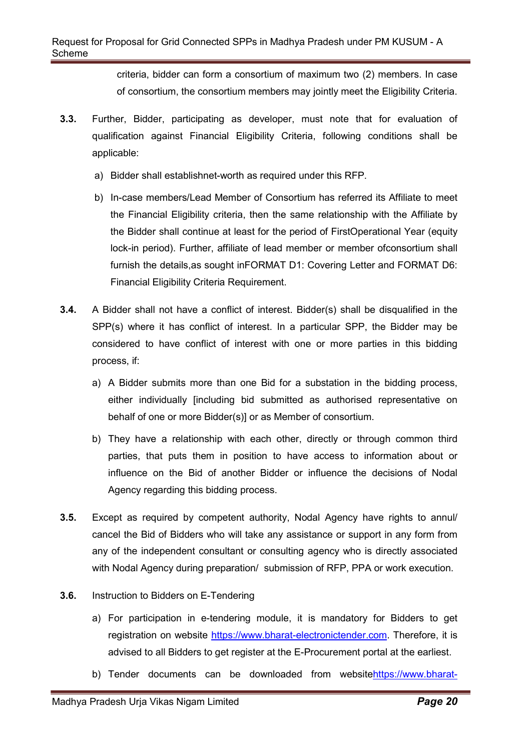criteria, bidder can form a consortium of maximum two (2) members. In case of consortium, the consortium members may jointly meet the Eligibility Criteria.

- 3.3. Further, Bidder, participating as developer, must note that for evaluation of qualification against Financial Eligibility Criteria, following conditions shall be applicable:
	- a) Bidder shall establishnet-worth as required under this RFP.
	- b) In-case members/Lead Member of Consortium has referred its Affiliate to meet the Financial Eligibility criteria, then the same relationship with the Affiliate by the Bidder shall continue at least for the period of FirstOperational Year (equity lock-in period). Further, affiliate of lead member or member ofconsortium shall furnish the details,as sought inFORMAT D1: Covering Letter and FORMAT D6: Financial Eligibility Criteria Requirement.
- 3.4. A Bidder shall not have a conflict of interest. Bidder(s) shall be disqualified in the SPP(s) where it has conflict of interest. In a particular SPP, the Bidder may be considered to have conflict of interest with one or more parties in this bidding process, if:
	- a) A Bidder submits more than one Bid for a substation in the bidding process, either individually [including bid submitted as authorised representative on behalf of one or more Bidder(s)] or as Member of consortium.
	- b) They have a relationship with each other, directly or through common third parties, that puts them in position to have access to information about or influence on the Bid of another Bidder or influence the decisions of Nodal Agency regarding this bidding process.
- 3.5. Except as required by competent authority, Nodal Agency have rights to annul/ cancel the Bid of Bidders who will take any assistance or support in any form from any of the independent consultant or consulting agency who is directly associated with Nodal Agency during preparation/ submission of RFP, PPA or work execution.
- **3.6.** Instruction to Bidders on E-Tendering
	- a) For participation in e-tendering module, it is mandatory for Bidders to get registration on website https://www.bharat-electronictender.com. Therefore, it is advised to all Bidders to get register at the E-Procurement portal at the earliest.
	- b) Tender documents can be downloaded from websitehttps://www.bharat-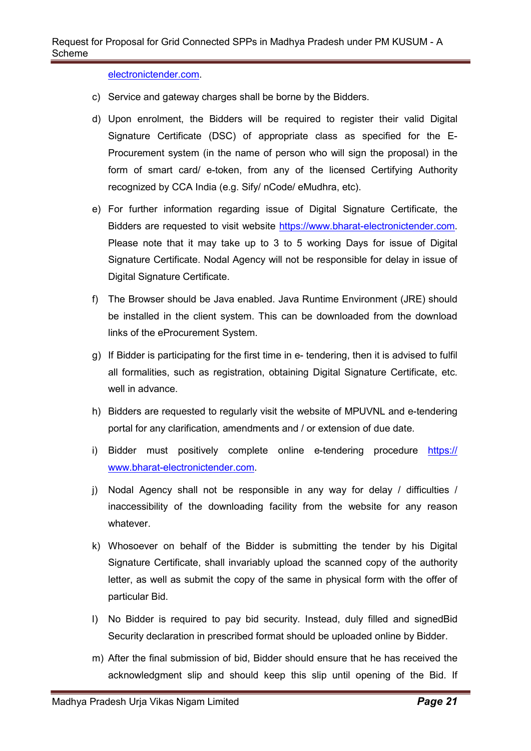electronictender.com.

- c) Service and gateway charges shall be borne by the Bidders.
- d) Upon enrolment, the Bidders will be required to register their valid Digital Signature Certificate (DSC) of appropriate class as specified for the E-Procurement system (in the name of person who will sign the proposal) in the form of smart card/ e-token, from any of the licensed Certifying Authority recognized by CCA India (e.g. Sify/ nCode/ eMudhra, etc).
- e) For further information regarding issue of Digital Signature Certificate, the Bidders are requested to visit website https://www.bharat-electronictender.com. Please note that it may take up to 3 to 5 working Days for issue of Digital Signature Certificate. Nodal Agency will not be responsible for delay in issue of Digital Signature Certificate.
- f) The Browser should be Java enabled. Java Runtime Environment (JRE) should be installed in the client system. This can be downloaded from the download links of the eProcurement System.
- g) If Bidder is participating for the first time in e- tendering, then it is advised to fulfil all formalities, such as registration, obtaining Digital Signature Certificate, etc. well in advance.
- h) Bidders are requested to regularly visit the website of MPUVNL and e-tendering portal for any clarification, amendments and / or extension of due date.
- i) Bidder must positively complete online e-tendering procedure https:// www.bharat-electronictender.com.
- j) Nodal Agency shall not be responsible in any way for delay / difficulties / inaccessibility of the downloading facility from the website for any reason whatever.
- k) Whosoever on behalf of the Bidder is submitting the tender by his Digital Signature Certificate, shall invariably upload the scanned copy of the authority letter, as well as submit the copy of the same in physical form with the offer of particular Bid.
- l) No Bidder is required to pay bid security. Instead, duly filled and signedBid Security declaration in prescribed format should be uploaded online by Bidder.
- m) After the final submission of bid, Bidder should ensure that he has received the acknowledgment slip and should keep this slip until opening of the Bid. If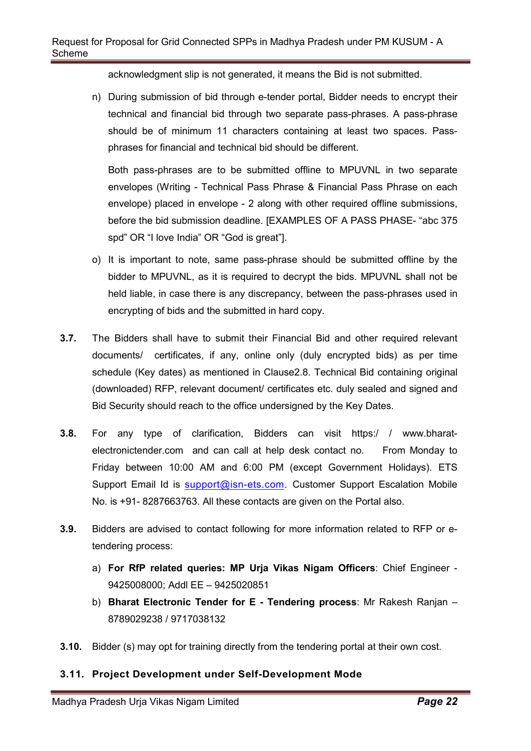acknowledgment slip is not generated, it means the Bid is not submitted.

n) During submission of bid through e-tender portal, Bidder needs to encrypt their technical and financial bid through two separate pass-phrases. A pass-phrase should be of minimum 11 characters containing at least two spaces. Passphrases for financial and technical bid should be different.

Both pass-phrases are to be submitted offline to MPUVNL in two separate envelopes (Writing - Technical Pass Phrase & Financial Pass Phrase on each envelope) placed in envelope - 2 along with other required offline submissions, before the bid submission deadline. [EXAMPLES OF A PASS PHASE- "abc 375 spd" OR "I love India" OR "God is great"].

- o) It is important to note, same pass-phrase should be submitted offline by the bidder to MPUVNL, as it is required to decrypt the bids. MPUVNL shall not be held liable, in case there is any discrepancy, between the pass-phrases used in encrypting of bids and the submitted in hard copy.
- 3.7. The Bidders shall have to submit their Financial Bid and other required relevant documents/ certificates, if any, online only (duly encrypted bids) as per time schedule (Key dates) as mentioned in Clause2.8. Technical Bid containing original (downloaded) RFP, relevant document/ certificates etc. duly sealed and signed and Bid Security should reach to the office undersigned by the Key Dates.
- 3.8. For any type of clarification, Bidders can visit https:/ / www.bharatelectronictender.com and can call at help desk contact no. From Monday to Friday between 10:00 AM and 6:00 PM (except Government Holidays). ETS Support Email Id is support@isn-ets.com. Customer Support Escalation Mobile No. is +91- 8287663763. All these contacts are given on the Portal also.
- 3.9. Bidders are advised to contact following for more information related to RFP or etendering process:
	- a) For RfP related queries: MP Urja Vikas Nigam Officers: Chief Engineer 9425008000; Addl EE – 9425020851
	- b) Bharat Electronic Tender for E Tendering process: Mr Rakesh Ranjan -8789029238 / 9717038132
- 3.10. Bidder (s) may opt for training directly from the tendering portal at their own cost.

### 3.11. Project Development under Self-Development Mode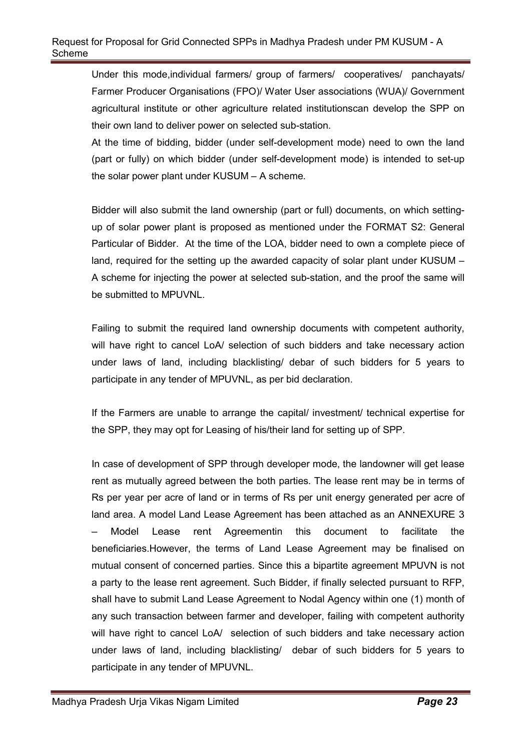Under this mode,individual farmers/ group of farmers/ cooperatives/ panchayats/ Farmer Producer Organisations (FPO)/ Water User associations (WUA)/ Government agricultural institute or other agriculture related institutionscan develop the SPP on their own land to deliver power on selected sub-station.

At the time of bidding, bidder (under self-development mode) need to own the land (part or fully) on which bidder (under self-development mode) is intended to set-up the solar power plant under KUSUM – A scheme.

Bidder will also submit the land ownership (part or full) documents, on which settingup of solar power plant is proposed as mentioned under the FORMAT S2: General Particular of Bidder. At the time of the LOA, bidder need to own a complete piece of land, required for the setting up the awarded capacity of solar plant under KUSUM – A scheme for injecting the power at selected sub-station, and the proof the same will be submitted to MPUVNL.

Failing to submit the required land ownership documents with competent authority, will have right to cancel LoA/ selection of such bidders and take necessary action under laws of land, including blacklisting/ debar of such bidders for 5 years to participate in any tender of MPUVNL, as per bid declaration.

If the Farmers are unable to arrange the capital/ investment/ technical expertise for the SPP, they may opt for Leasing of his/their land for setting up of SPP.

In case of development of SPP through developer mode, the landowner will get lease rent as mutually agreed between the both parties. The lease rent may be in terms of Rs per year per acre of land or in terms of Rs per unit energy generated per acre of land area. A model Land Lease Agreement has been attached as an ANNEXURE 3 Model Lease rent Agreementin this document to facilitate the beneficiaries.However, the terms of Land Lease Agreement may be finalised on mutual consent of concerned parties. Since this a bipartite agreement MPUVN is not a party to the lease rent agreement. Such Bidder, if finally selected pursuant to RFP, shall have to submit Land Lease Agreement to Nodal Agency within one (1) month of any such transaction between farmer and developer, failing with competent authority will have right to cancel LoA/ selection of such bidders and take necessary action under laws of land, including blacklisting/ debar of such bidders for 5 years to participate in any tender of MPUVNL.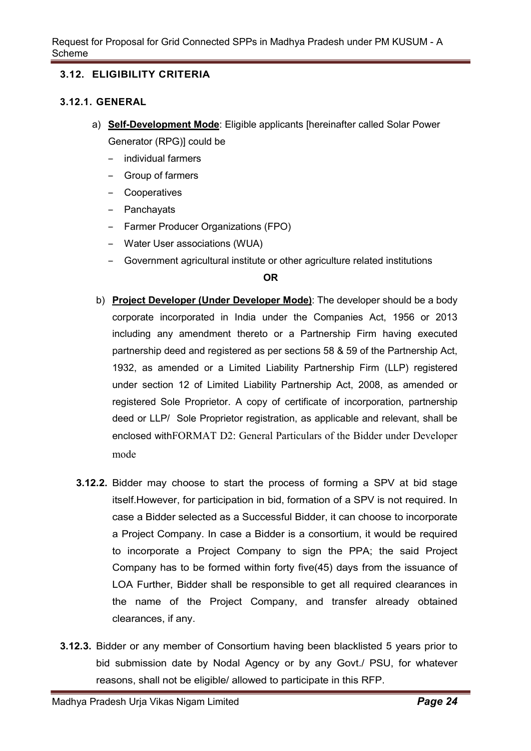### 3.12. ELIGIBILITY CRITERIA

#### 3.12.1. GENERAL

- a) Self-Development Mode: Eligible applicants [hereinafter called Solar Power Generator (RPG)] could be
	- ‒ individual farmers
	- ‒ Group of farmers
	- ‒ Cooperatives
	- ‒ Panchayats
	- ‒ Farmer Producer Organizations (FPO)
	- ‒ Water User associations (WUA)
	- ‒ Government agricultural institute or other agriculture related institutions

#### OR

- b) Project Developer (Under Developer Mode): The developer should be a body corporate incorporated in India under the Companies Act, 1956 or 2013 including any amendment thereto or a Partnership Firm having executed partnership deed and registered as per sections 58 & 59 of the Partnership Act, 1932, as amended or a Limited Liability Partnership Firm (LLP) registered under section 12 of Limited Liability Partnership Act, 2008, as amended or registered Sole Proprietor. A copy of certificate of incorporation, partnership deed or LLP/ Sole Proprietor registration, as applicable and relevant, shall be enclosed withFORMAT D2: General Particulars of the Bidder under Developer mode
- 3.12.2. Bidder may choose to start the process of forming a SPV at bid stage itself.However, for participation in bid, formation of a SPV is not required. In case a Bidder selected as a Successful Bidder, it can choose to incorporate a Project Company. In case a Bidder is a consortium, it would be required to incorporate a Project Company to sign the PPA; the said Project Company has to be formed within forty five(45) days from the issuance of LOA Further, Bidder shall be responsible to get all required clearances in the name of the Project Company, and transfer already obtained clearances, if any.
- 3.12.3. Bidder or any member of Consortium having been blacklisted 5 years prior to bid submission date by Nodal Agency or by any Govt./ PSU, for whatever reasons, shall not be eligible/ allowed to participate in this RFP.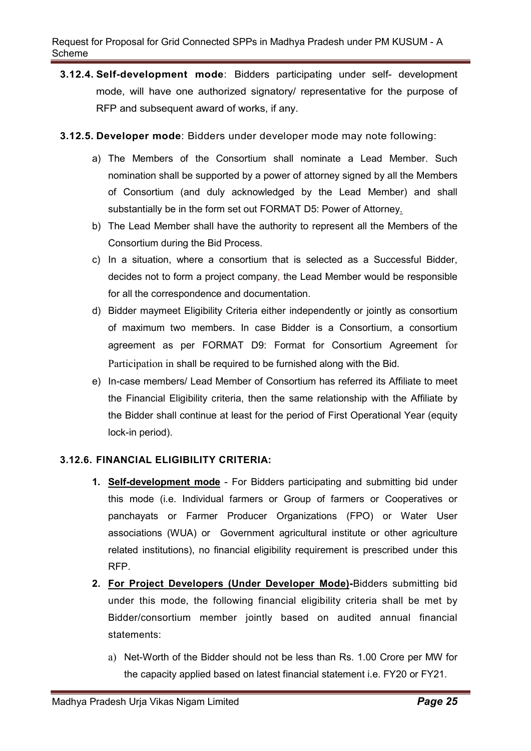- 3.12.4. Self-development mode: Bidders participating under self- development mode, will have one authorized signatory/ representative for the purpose of RFP and subsequent award of works, if any.
- 3.12.5. Developer mode: Bidders under developer mode may note following:
	- a) The Members of the Consortium shall nominate a Lead Member. Such nomination shall be supported by a power of attorney signed by all the Members of Consortium (and duly acknowledged by the Lead Member) and shall substantially be in the form set out FORMAT D5: Power of Attorney.
	- b) The Lead Member shall have the authority to represent all the Members of the Consortium during the Bid Process.
	- c) In a situation, where a consortium that is selected as a Successful Bidder, decides not to form a project company, the Lead Member would be responsible for all the correspondence and documentation.
	- d) Bidder maymeet Eligibility Criteria either independently or jointly as consortium of maximum two members. In case Bidder is a Consortium, a consortium agreement as per FORMAT D9: Format for Consortium Agreement for Participation in shall be required to be furnished along with the Bid.
	- e) In-case members/ Lead Member of Consortium has referred its Affiliate to meet the Financial Eligibility criteria, then the same relationship with the Affiliate by the Bidder shall continue at least for the period of First Operational Year (equity lock-in period).

### 3.12.6. FINANCIAL ELIGIBILITY CRITERIA:

- 1. Self-development mode For Bidders participating and submitting bid under this mode (i.e. Individual farmers or Group of farmers or Cooperatives or panchayats or Farmer Producer Organizations (FPO) or Water User associations (WUA) or Government agricultural institute or other agriculture related institutions), no financial eligibility requirement is prescribed under this RFP.
- 2. For Project Developers (Under Developer Mode)-Bidders submitting bid under this mode, the following financial eligibility criteria shall be met by Bidder/consortium member jointly based on audited annual financial statements:
	- a) Net-Worth of the Bidder should not be less than Rs. 1.00 Crore per MW for the capacity applied based on latest financial statement i.e. FY20 or FY21.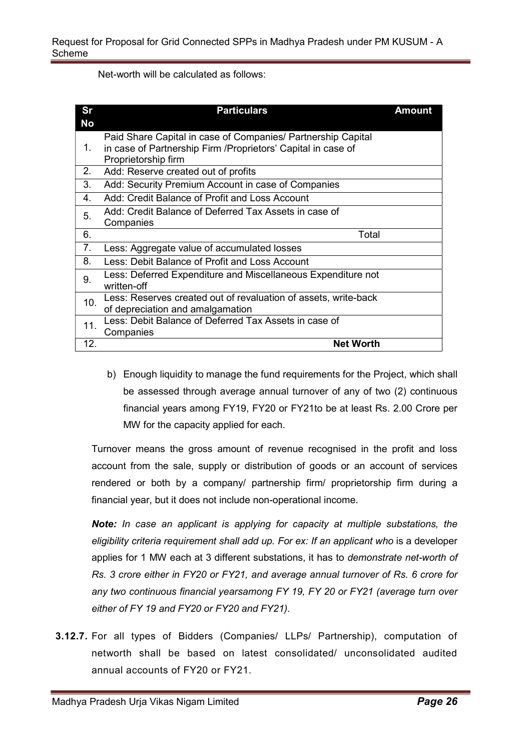Net-worth will be calculated as follows:

| <b>Sr</b><br><b>No</b> | <b>Particulars</b>                                                                                                            | <b>Amount</b> |
|------------------------|-------------------------------------------------------------------------------------------------------------------------------|---------------|
| 1.                     | Paid Share Capital in case of Companies/ Partnership Capital<br>in case of Partnership Firm / Proprietors' Capital in case of |               |
|                        | Proprietorship firm                                                                                                           |               |
| 2.                     | Add: Reserve created out of profits                                                                                           |               |
| 3.                     | Add: Security Premium Account in case of Companies                                                                            |               |
| 4.                     | Add: Credit Balance of Profit and Loss Account                                                                                |               |
| 5.                     | Add: Credit Balance of Deferred Tax Assets in case of                                                                         |               |
|                        | Companies                                                                                                                     |               |
| 6.                     | Total                                                                                                                         |               |
| 7.                     | Less: Aggregate value of accumulated losses                                                                                   |               |
| 8.                     | Less: Debit Balance of Profit and Loss Account                                                                                |               |
| 9.                     | Less: Deferred Expenditure and Miscellaneous Expenditure not                                                                  |               |
|                        | written-off                                                                                                                   |               |
| 10.                    | Less: Reserves created out of revaluation of assets, write-back                                                               |               |
|                        | of depreciation and amalgamation                                                                                              |               |
| 11.                    | Less: Debit Balance of Deferred Tax Assets in case of                                                                         |               |
|                        | Companies                                                                                                                     |               |
| 12.                    | <b>Net Worth</b>                                                                                                              |               |

b) Enough liquidity to manage the fund requirements for the Project, which shall be assessed through average annual turnover of any of two (2) continuous financial years among FY19, FY20 or FY21to be at least Rs. 2.00 Crore per MW for the capacity applied for each.

Turnover means the gross amount of revenue recognised in the profit and loss account from the sale, supply or distribution of goods or an account of services rendered or both by a company/ partnership firm/ proprietorship firm during a financial year, but it does not include non-operational income.

Note: In case an applicant is applying for capacity at multiple substations, the eligibility criteria requirement shall add up. For ex: If an applicant who is a developer applies for 1 MW each at 3 different substations, it has to demonstrate net-worth of Rs. 3 crore either in FY20 or FY21, and average annual turnover of Rs. 6 crore for any two continuous financial yearsamong FY 19, FY 20 or FY21 (average turn over either of FY 19 and FY20 or FY20 and FY21).

3.12.7. For all types of Bidders (Companies/ LLPs/ Partnership), computation of networth shall be based on latest consolidated/ unconsolidated audited annual accounts of FY20 or FY21.